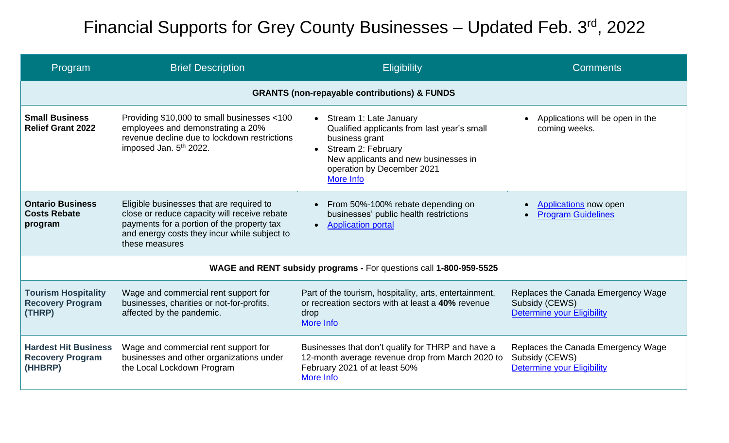## Financial Supports for Grey County Businesses - Updated Feb. 3rd, 2022

| Program                                                            | <b>Brief Description</b>                                                                                                                                                                                 | Eligibility                                                                                                                                                                                                   | <b>Comments</b>                                                                           |  |  |  |
|--------------------------------------------------------------------|----------------------------------------------------------------------------------------------------------------------------------------------------------------------------------------------------------|---------------------------------------------------------------------------------------------------------------------------------------------------------------------------------------------------------------|-------------------------------------------------------------------------------------------|--|--|--|
| <b>GRANTS (non-repayable contributions) &amp; FUNDS</b>            |                                                                                                                                                                                                          |                                                                                                                                                                                                               |                                                                                           |  |  |  |
| <b>Small Business</b><br><b>Relief Grant 2022</b>                  | Providing \$10,000 to small businesses <100<br>employees and demonstrating a 20%<br>revenue decline due to lockdown restrictions<br>imposed Jan. 5 <sup>th</sup> 2022.                                   | Stream 1: Late January<br>$\bullet$<br>Qualified applicants from last year's small<br>business grant<br>Stream 2: February<br>New applicants and new businesses in<br>operation by December 2021<br>More Info | Applications will be open in the<br>coming weeks.                                         |  |  |  |
| <b>Ontario Business</b><br><b>Costs Rebate</b><br>program          | Eligible businesses that are required to<br>close or reduce capacity will receive rebate<br>payments for a portion of the property tax<br>and energy costs they incur while subject to<br>these measures | From 50%-100% rebate depending on<br>businesses' public health restrictions<br><b>Application portal</b><br>$\bullet$                                                                                         | <b>Applications</b> now open<br><b>Program Guidelines</b>                                 |  |  |  |
| WAGE and RENT subsidy programs - For questions call 1-800-959-5525 |                                                                                                                                                                                                          |                                                                                                                                                                                                               |                                                                                           |  |  |  |
| <b>Tourism Hospitality</b><br><b>Recovery Program</b><br>(THRP)    | Wage and commercial rent support for<br>businesses, charities or not-for-profits,<br>affected by the pandemic.                                                                                           | Part of the tourism, hospitality, arts, entertainment,<br>or recreation sectors with at least a 40% revenue<br>drop<br>More Info                                                                              | Replaces the Canada Emergency Wage<br>Subsidy (CEWS)<br><b>Determine your Eligibility</b> |  |  |  |
| <b>Hardest Hit Business</b><br><b>Recovery Program</b><br>(HHBRP)  | Wage and commercial rent support for<br>businesses and other organizations under<br>the Local Lockdown Program                                                                                           | Businesses that don't qualify for THRP and have a<br>12-month average revenue drop from March 2020 to<br>February 2021 of at least 50%<br>More Info                                                           | Replaces the Canada Emergency Wage<br>Subsidy (CEWS)<br><b>Determine your Eligibility</b> |  |  |  |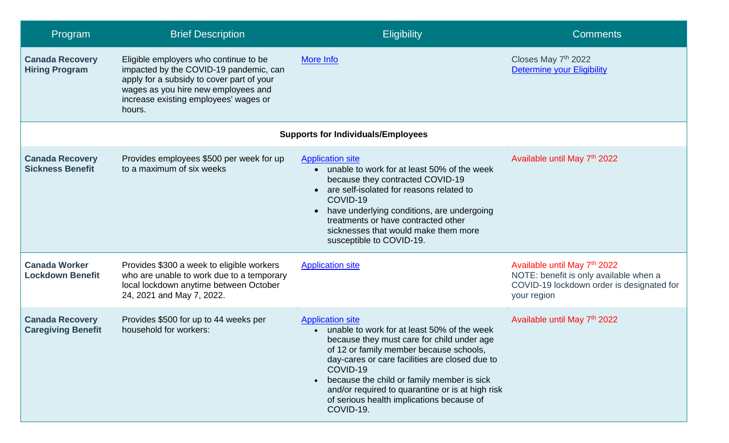| Program                                             | <b>Brief Description</b>                                                                                                                                                                                               | <b>Eligibility</b>                                                                                                                                                                                                                                                                                                                                                                        | <b>Comments</b>                                                                                                                    |  |  |  |
|-----------------------------------------------------|------------------------------------------------------------------------------------------------------------------------------------------------------------------------------------------------------------------------|-------------------------------------------------------------------------------------------------------------------------------------------------------------------------------------------------------------------------------------------------------------------------------------------------------------------------------------------------------------------------------------------|------------------------------------------------------------------------------------------------------------------------------------|--|--|--|
| <b>Canada Recovery</b><br><b>Hiring Program</b>     | Eligible employers who continue to be<br>impacted by the COVID-19 pandemic, can<br>apply for a subsidy to cover part of your<br>wages as you hire new employees and<br>increase existing employees' wages or<br>hours. | More Info                                                                                                                                                                                                                                                                                                                                                                                 | Closes May 7th 2022<br><b>Determine your Eligibility</b>                                                                           |  |  |  |
| <b>Supports for Individuals/Employees</b>           |                                                                                                                                                                                                                        |                                                                                                                                                                                                                                                                                                                                                                                           |                                                                                                                                    |  |  |  |
| <b>Canada Recovery</b><br><b>Sickness Benefit</b>   | Provides employees \$500 per week for up<br>to a maximum of six weeks                                                                                                                                                  | <b>Application site</b><br>• unable to work for at least 50% of the week<br>because they contracted COVID-19<br>• are self-isolated for reasons related to<br>COVID-19<br>have underlying conditions, are undergoing<br>treatments or have contracted other<br>sicknesses that would make them more<br>susceptible to COVID-19.                                                           | Available until May 7th 2022                                                                                                       |  |  |  |
| <b>Canada Worker</b><br><b>Lockdown Benefit</b>     | Provides \$300 a week to eligible workers<br>who are unable to work due to a temporary<br>local lockdown anytime between October<br>24, 2021 and May 7, 2022.                                                          | <b>Application site</b>                                                                                                                                                                                                                                                                                                                                                                   | Available until May 7th 2022<br>NOTE: benefit is only available when a<br>COVID-19 lockdown order is designated for<br>your region |  |  |  |
| <b>Canada Recovery</b><br><b>Caregiving Benefit</b> | Provides \$500 for up to 44 weeks per<br>household for workers:                                                                                                                                                        | <b>Application site</b><br>unable to work for at least 50% of the week<br>because they must care for child under age<br>of 12 or family member because schools,<br>day-cares or care facilities are closed due to<br>COVID-19<br>because the child or family member is sick<br>and/or required to quarantine or is at high risk<br>of serious health implications because of<br>COVID-19. | Available until May 7th 2022                                                                                                       |  |  |  |